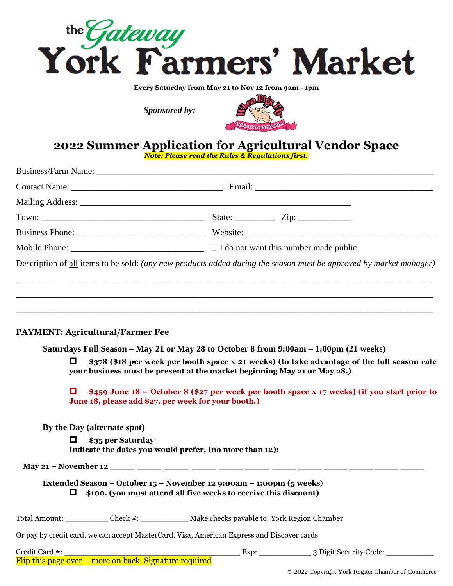

**Every Saturday from May 21 to Nov 12 from 9am - 1pm**

*Sponsored by:*



# **2022 Summer Application for Agricultural Vendor Space**

*Note: Please read the Rules & Regulations first.*

| Mobile Phone: $\sqrt{\phantom{a}}$ Mobile Phone: $\sqrt{\phantom{a}}$                                              |
|--------------------------------------------------------------------------------------------------------------------|
| Description of all items to be sold: (any new products added during the season must be approved by market manager) |
|                                                                                                                    |
|                                                                                                                    |
|                                                                                                                    |
|                                                                                                                    |

## **PAYMENT: Agricultural/Farmer Fee**

**Saturdays Full Season – May 21 or May 28 to October 8 from 9:00am – 1:00pm (21 weeks)**

 **\$378 (\$18 per week per booth space x 21 weeks) (to take advantage of the full season rate your business must be present at the market beginning May 21 or May 28.)**

 **\$459 June 18 – October 8 (\$27 per week per booth space x 17 weeks) (if you start prior to June 18, please add \$27. per week for your booth.)**

**By the Day (alternate spot)**

 **\$35 per Saturday Indicate the dates you would prefer, (no more than 12):** 

**May 21 – November 12** 

## **Extended Season – October 15 – November 12 9:00am – 1:00pm (5 weeks**) **\$100. (you must attend all five weeks to receive this discount)**

Total Amount: \_\_\_\_\_\_\_\_\_ Check #: \_\_\_\_\_\_\_\_\_\_ Make checks payable to: York Region Chamber

Or pay by credit card, we can accept MasterCard, Visa, American Express and Discover cards

Credit Card #: \_\_\_\_\_\_\_\_\_\_\_\_\_\_\_\_\_\_\_\_\_\_\_\_\_\_\_\_\_\_\_\_\_\_\_\_\_ Exp: \_\_\_\_\_\_\_\_\_\_\_ 3 Digit Security Code: \_\_\_\_\_\_\_\_\_\_ Flip this page over – more on back. Signature required

© 2022 Copyright York Region Chamber of Commerce